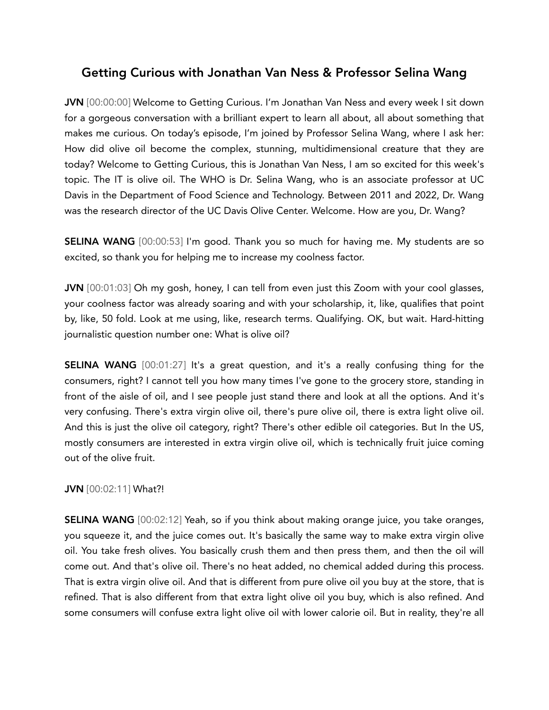## Getting Curious with Jonathan Van Ness & Professor Selina Wang

JVN [00:00:00] Welcome to Getting Curious. I'm Jonathan Van Ness and every week I sit down for a gorgeous conversation with a brilliant expert to learn all about, all about something that makes me curious. On today's episode, I'm joined by Professor Selina Wang, where I ask her: How did olive oil become the complex, stunning, multidimensional creature that they are today? Welcome to Getting Curious, this is Jonathan Van Ness, I am so excited for this week's topic. The IT is olive oil. The WHO is Dr. Selina Wang, who is an associate professor at UC Davis in the Department of Food Science and Technology. Between 2011 and 2022, Dr. Wang was the research director of the UC Davis Olive Center. Welcome. How are you, Dr. Wang?

SELINA WANG [00:00:53] I'm good. Thank you so much for having me. My students are so excited, so thank you for helping me to increase my coolness factor.

JVN [00:01:03] Oh my gosh, honey, I can tell from even just this Zoom with your cool glasses, your coolness factor was already soaring and with your scholarship, it, like, qualifies that point by, like, 50 fold. Look at me using, like, research terms. Qualifying. OK, but wait. Hard-hitting journalistic question number one: What is olive oil?

**SELINA WANG** [00:01:27] It's a great question, and it's a really confusing thing for the consumers, right? I cannot tell you how many times I've gone to the grocery store, standing in front of the aisle of oil, and I see people just stand there and look at all the options. And it's very confusing. There's extra virgin olive oil, there's pure olive oil, there is extra light olive oil. And this is just the olive oil category, right? There's other edible oil categories. But In the US, mostly consumers are interested in extra virgin olive oil, which is technically fruit juice coming out of the olive fruit.

## JVN [00:02:11] What?!

SELINA WANG [00:02:12] Yeah, so if you think about making orange juice, you take oranges, you squeeze it, and the juice comes out. It's basically the same way to make extra virgin olive oil. You take fresh olives. You basically crush them and then press them, and then the oil will come out. And that's olive oil. There's no heat added, no chemical added during this process. That is extra virgin olive oil. And that is different from pure olive oil you buy at the store, that is refined. That is also different from that extra light olive oil you buy, which is also refined. And some consumers will confuse extra light olive oil with lower calorie oil. But in reality, they're all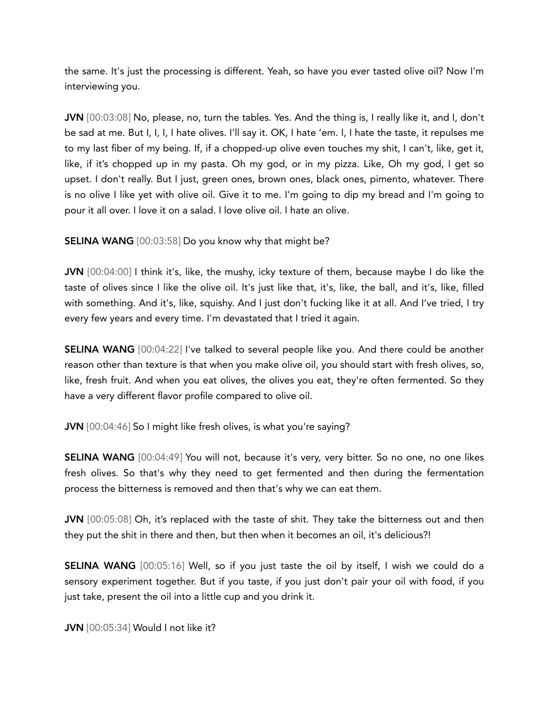the same. It's just the processing is different. Yeah, so have you ever tasted olive oil? Now I'm interviewing you.

JVN [00:03:08] No, please, no, turn the tables. Yes. And the thing is, I really like it, and I, don't be sad at me. But I, I, I, I hate olives. I'll say it. OK, I hate 'em. I, I hate the taste, it repulses me to my last fiber of my being. If, if a chopped-up olive even touches my shit, I can't, like, get it, like, if it's chopped up in my pasta. Oh my god, or in my pizza. Like, Oh my god, I get so upset. I don't really. But I just, green ones, brown ones, black ones, pimento, whatever. There is no olive I like yet with olive oil. Give it to me. I'm going to dip my bread and I'm going to pour it all over. I love it on a salad. I love olive oil. I hate an olive.

SELINA WANG [00:03:58] Do you know why that might be?

JVN [00:04:00] I think it's, like, the mushy, icky texture of them, because maybe I do like the taste of olives since I like the olive oil. It's just like that, it's, like, the ball, and it's, like, filled with something. And it's, like, squishy. And I just don't fucking like it at all. And I've tried, I try every few years and every time. I'm devastated that I tried it again.

SELINA WANG [00:04:22] I've talked to several people like you. And there could be another reason other than texture is that when you make olive oil, you should start with fresh olives, so, like, fresh fruit. And when you eat olives, the olives you eat, they're often fermented. So they have a very different flavor profile compared to olive oil.

JVN [00:04:46] So I might like fresh olives, is what you're saying?

SELINA WANG [00:04:49] You will not, because it's very, very bitter. So no one, no one likes fresh olives. So that's why they need to get fermented and then during the fermentation process the bitterness is removed and then that's why we can eat them.

JVN [00:05:08] Oh, it's replaced with the taste of shit. They take the bitterness out and then they put the shit in there and then, but then when it becomes an oil, it's delicious?!

SELINA WANG [00:05:16] Well, so if you just taste the oil by itself, I wish we could do a sensory experiment together. But if you taste, if you just don't pair your oil with food, if you just take, present the oil into a little cup and you drink it.

JVN [00:05:34] Would I not like it?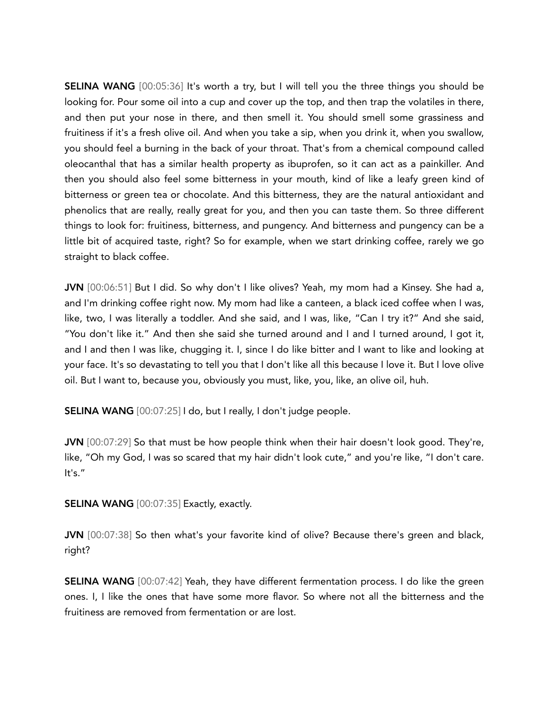SELINA WANG [00:05:36] It's worth a try, but I will tell you the three things you should be looking for. Pour some oil into a cup and cover up the top, and then trap the volatiles in there, and then put your nose in there, and then smell it. You should smell some grassiness and fruitiness if it's a fresh olive oil. And when you take a sip, when you drink it, when you swallow, you should feel a burning in the back of your throat. That's from a chemical compound called oleocanthal that has a similar health property as ibuprofen, so it can act as a painkiller. And then you should also feel some bitterness in your mouth, kind of like a leafy green kind of bitterness or green tea or chocolate. And this bitterness, they are the natural antioxidant and phenolics that are really, really great for you, and then you can taste them. So three different things to look for: fruitiness, bitterness, and pungency. And bitterness and pungency can be a little bit of acquired taste, right? So for example, when we start drinking coffee, rarely we go straight to black coffee.

JVN [00:06:51] But I did. So why don't I like olives? Yeah, my mom had a Kinsey. She had a, and I'm drinking coffee right now. My mom had like a canteen, a black iced coffee when I was, like, two, I was literally a toddler. And she said, and I was, like, "Can I try it?" And she said, "You don't like it." And then she said she turned around and I and I turned around, I got it, and I and then I was like, chugging it. I, since I do like bitter and I want to like and looking at your face. It's so devastating to tell you that I don't like all this because I love it. But I love olive oil. But I want to, because you, obviously you must, like, you, like, an olive oil, huh.

SELINA WANG [00:07:25] I do, but I really, I don't judge people.

JVN [00:07:29] So that must be how people think when their hair doesn't look good. They're, like, "Oh my God, I was so scared that my hair didn't look cute," and you're like, "I don't care. It's."

SELINA WANG [00:07:35] Exactly, exactly.

JVN [00:07:38] So then what's your favorite kind of olive? Because there's green and black, right?

SELINA WANG [00:07:42] Yeah, they have different fermentation process. I do like the green ones. I, I like the ones that have some more flavor. So where not all the bitterness and the fruitiness are removed from fermentation or are lost.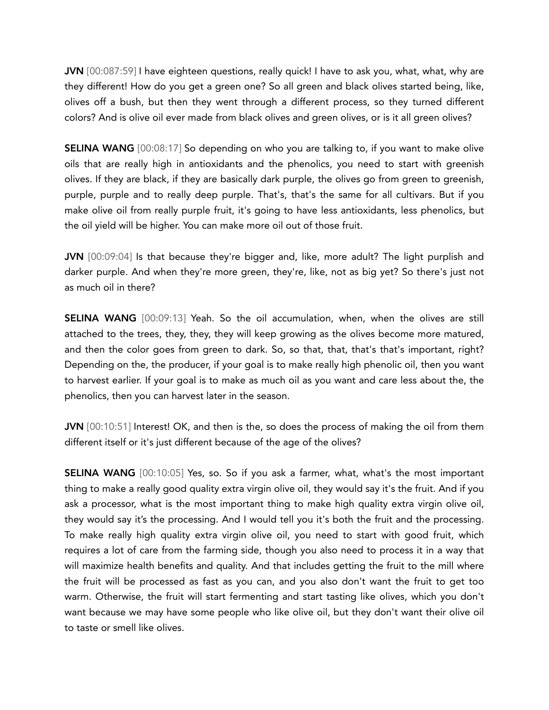JVN [00:087:59] I have eighteen questions, really quick! I have to ask you, what, what, why are they different! How do you get a green one? So all green and black olives started being, like, olives off a bush, but then they went through a different process, so they turned different colors? And is olive oil ever made from black olives and green olives, or is it all green olives?

SELINA WANG [00:08:17] So depending on who you are talking to, if you want to make olive oils that are really high in antioxidants and the phenolics, you need to start with greenish olives. If they are black, if they are basically dark purple, the olives go from green to greenish, purple, purple and to really deep purple. That's, that's the same for all cultivars. But if you make olive oil from really purple fruit, it's going to have less antioxidants, less phenolics, but the oil yield will be higher. You can make more oil out of those fruit.

JVN [00:09:04] Is that because they're bigger and, like, more adult? The light purplish and darker purple. And when they're more green, they're, like, not as big yet? So there's just not as much oil in there?

SELINA WANG [00:09:13] Yeah. So the oil accumulation, when, when the olives are still attached to the trees, they, they, they will keep growing as the olives become more matured, and then the color goes from green to dark. So, so that, that, that's that's important, right? Depending on the, the producer, if your goal is to make really high phenolic oil, then you want to harvest earlier. If your goal is to make as much oil as you want and care less about the, the phenolics, then you can harvest later in the season.

JVN [00:10:51] Interest! OK, and then is the, so does the process of making the oil from them different itself or it's just different because of the age of the olives?

SELINA WANG [00:10:05] Yes, so. So if you ask a farmer, what, what's the most important thing to make a really good quality extra virgin olive oil, they would say it's the fruit. And if you ask a processor, what is the most important thing to make high quality extra virgin olive oil, they would say it's the processing. And I would tell you it's both the fruit and the processing. To make really high quality extra virgin olive oil, you need to start with good fruit, which requires a lot of care from the farming side, though you also need to process it in a way that will maximize health benefits and quality. And that includes getting the fruit to the mill where the fruit will be processed as fast as you can, and you also don't want the fruit to get too warm. Otherwise, the fruit will start fermenting and start tasting like olives, which you don't want because we may have some people who like olive oil, but they don't want their olive oil to taste or smell like olives.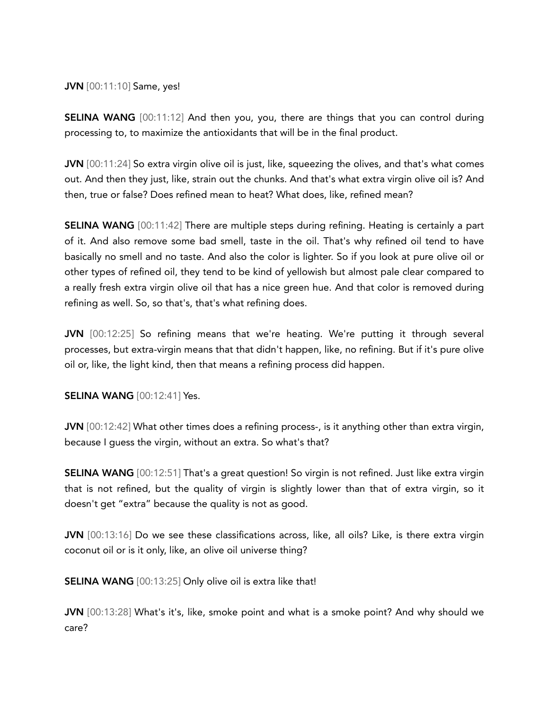JVN [00:11:10] Same, yes!

SELINA WANG [00:11:12] And then you, you, there are things that you can control during processing to, to maximize the antioxidants that will be in the final product.

JVN [00:11:24] So extra virgin olive oil is just, like, squeezing the olives, and that's what comes out. And then they just, like, strain out the chunks. And that's what extra virgin olive oil is? And then, true or false? Does refined mean to heat? What does, like, refined mean?

SELINA WANG [00:11:42] There are multiple steps during refining. Heating is certainly a part of it. And also remove some bad smell, taste in the oil. That's why refined oil tend to have basically no smell and no taste. And also the color is lighter. So if you look at pure olive oil or other types of refined oil, they tend to be kind of yellowish but almost pale clear compared to a really fresh extra virgin olive oil that has a nice green hue. And that color is removed during refining as well. So, so that's, that's what refining does.

JVN [00:12:25] So refining means that we're heating. We're putting it through several processes, but extra-virgin means that that didn't happen, like, no refining. But if it's pure olive oil or, like, the light kind, then that means a refining process did happen.

SELINA WANG [00:12:41] Yes.

JVN [00:12:42] What other times does a refining process-, is it anything other than extra virgin, because I guess the virgin, without an extra. So what's that?

SELINA WANG [00:12:51] That's a great question! So virgin is not refined. Just like extra virgin that is not refined, but the quality of virgin is slightly lower than that of extra virgin, so it doesn't get "extra" because the quality is not as good.

JVN [00:13:16] Do we see these classifications across, like, all oils? Like, is there extra virgin coconut oil or is it only, like, an olive oil universe thing?

SELINA WANG [00:13:25] Only olive oil is extra like that!

JVN [00:13:28] What's it's, like, smoke point and what is a smoke point? And why should we care?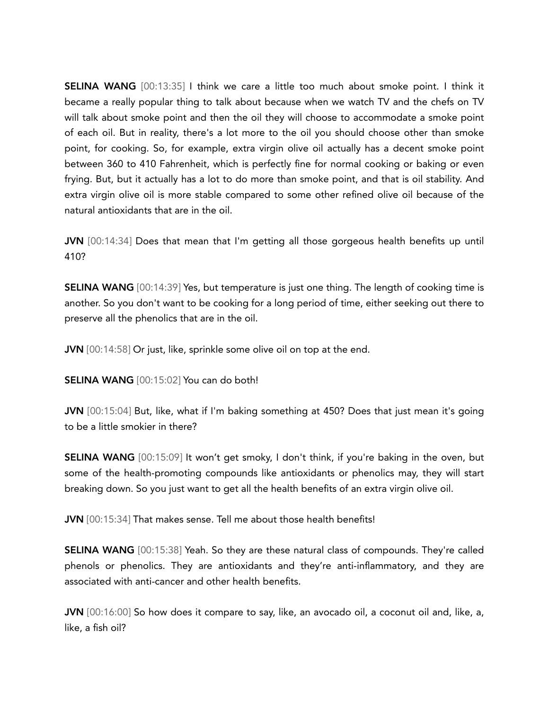SELINA WANG [00:13:35] I think we care a little too much about smoke point. I think it became a really popular thing to talk about because when we watch TV and the chefs on TV will talk about smoke point and then the oil they will choose to accommodate a smoke point of each oil. But in reality, there's a lot more to the oil you should choose other than smoke point, for cooking. So, for example, extra virgin olive oil actually has a decent smoke point between 360 to 410 Fahrenheit, which is perfectly fine for normal cooking or baking or even frying. But, but it actually has a lot to do more than smoke point, and that is oil stability. And extra virgin olive oil is more stable compared to some other refined olive oil because of the natural antioxidants that are in the oil.

JVN [00:14:34] Does that mean that I'm getting all those gorgeous health benefits up until 410?

SELINA WANG [00:14:39] Yes, but temperature is just one thing. The length of cooking time is another. So you don't want to be cooking for a long period of time, either seeking out there to preserve all the phenolics that are in the oil.

JVN [00:14:58] Or just, like, sprinkle some olive oil on top at the end.

SELINA WANG [00:15:02] You can do both!

JVN [00:15:04] But, like, what if I'm baking something at 450? Does that just mean it's going to be a little smokier in there?

SELINA WANG [00:15:09] It won't get smoky, I don't think, if you're baking in the oven, but some of the health-promoting compounds like antioxidants or phenolics may, they will start breaking down. So you just want to get all the health benefits of an extra virgin olive oil.

JVN [00:15:34] That makes sense. Tell me about those health benefits!

SELINA WANG [00:15:38] Yeah. So they are these natural class of compounds. They're called phenols or phenolics. They are antioxidants and they're anti-inflammatory, and they are associated with anti-cancer and other health benefits.

JVN [00:16:00] So how does it compare to say, like, an avocado oil, a coconut oil and, like, a, like, a fish oil?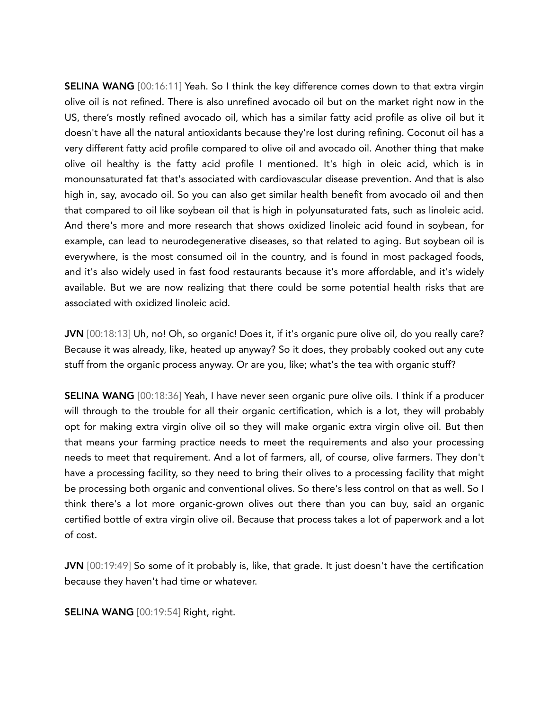SELINA WANG [00:16:11] Yeah. So I think the key difference comes down to that extra virgin olive oil is not refined. There is also unrefined avocado oil but on the market right now in the US, there's mostly refined avocado oil, which has a similar fatty acid profile as olive oil but it doesn't have all the natural antioxidants because they're lost during refining. Coconut oil has a very different fatty acid profile compared to olive oil and avocado oil. Another thing that make olive oil healthy is the fatty acid profile I mentioned. It's high in oleic acid, which is in monounsaturated fat that's associated with cardiovascular disease prevention. And that is also high in, say, avocado oil. So you can also get similar health benefit from avocado oil and then that compared to oil like soybean oil that is high in polyunsaturated fats, such as linoleic acid. And there's more and more research that shows oxidized linoleic acid found in soybean, for example, can lead to neurodegenerative diseases, so that related to aging. But soybean oil is everywhere, is the most consumed oil in the country, and is found in most packaged foods, and it's also widely used in fast food restaurants because it's more affordable, and it's widely available. But we are now realizing that there could be some potential health risks that are associated with oxidized linoleic acid.

JVN [00:18:13] Uh, no! Oh, so organic! Does it, if it's organic pure olive oil, do you really care? Because it was already, like, heated up anyway? So it does, they probably cooked out any cute stuff from the organic process anyway. Or are you, like; what's the tea with organic stuff?

SELINA WANG [00:18:36] Yeah, I have never seen organic pure olive oils. I think if a producer will through to the trouble for all their organic certification, which is a lot, they will probably opt for making extra virgin olive oil so they will make organic extra virgin olive oil. But then that means your farming practice needs to meet the requirements and also your processing needs to meet that requirement. And a lot of farmers, all, of course, olive farmers. They don't have a processing facility, so they need to bring their olives to a processing facility that might be processing both organic and conventional olives. So there's less control on that as well. So I think there's a lot more organic-grown olives out there than you can buy, said an organic certified bottle of extra virgin olive oil. Because that process takes a lot of paperwork and a lot of cost.

JVN [00:19:49] So some of it probably is, like, that grade. It just doesn't have the certification because they haven't had time or whatever.

SELINA WANG [00:19:54] Right, right.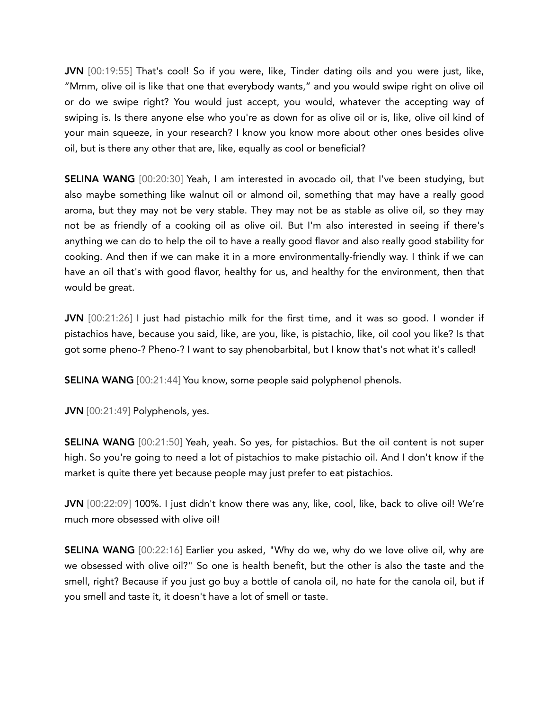JVN [00:19:55] That's cool! So if you were, like, Tinder dating oils and you were just, like, "Mmm, olive oil is like that one that everybody wants," and you would swipe right on olive oil or do we swipe right? You would just accept, you would, whatever the accepting way of swiping is. Is there anyone else who you're as down for as olive oil or is, like, olive oil kind of your main squeeze, in your research? I know you know more about other ones besides olive oil, but is there any other that are, like, equally as cool or beneficial?

SELINA WANG [00:20:30] Yeah, I am interested in avocado oil, that I've been studying, but also maybe something like walnut oil or almond oil, something that may have a really good aroma, but they may not be very stable. They may not be as stable as olive oil, so they may not be as friendly of a cooking oil as olive oil. But I'm also interested in seeing if there's anything we can do to help the oil to have a really good flavor and also really good stability for cooking. And then if we can make it in a more environmentally-friendly way. I think if we can have an oil that's with good flavor, healthy for us, and healthy for the environment, then that would be great.

JVN [00:21:26] I just had pistachio milk for the first time, and it was so good. I wonder if pistachios have, because you said, like, are you, like, is pistachio, like, oil cool you like? Is that got some pheno-? Pheno-? I want to say phenobarbital, but I know that's not what it's called!

SELINA WANG [00:21:44] You know, some people said polyphenol phenols.

JVN [00:21:49] Polyphenols, yes.

SELINA WANG [00:21:50] Yeah, yeah. So yes, for pistachios. But the oil content is not super high. So you're going to need a lot of pistachios to make pistachio oil. And I don't know if the market is quite there yet because people may just prefer to eat pistachios.

JVN [00:22:09] 100%. I just didn't know there was any, like, cool, like, back to olive oil! We're much more obsessed with olive oil!

SELINA WANG [00:22:16] Earlier you asked, "Why do we, why do we love olive oil, why are we obsessed with olive oil?" So one is health benefit, but the other is also the taste and the smell, right? Because if you just go buy a bottle of canola oil, no hate for the canola oil, but if you smell and taste it, it doesn't have a lot of smell or taste.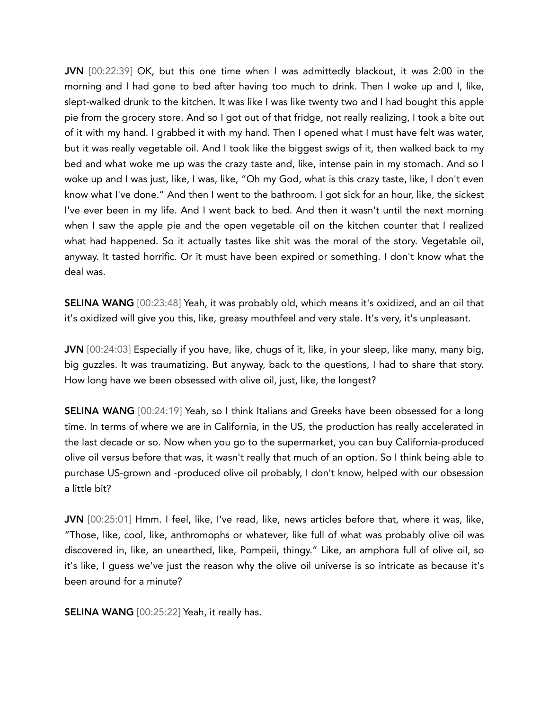JVN [00:22:39] OK, but this one time when I was admittedly blackout, it was 2:00 in the morning and I had gone to bed after having too much to drink. Then I woke up and I, like, slept-walked drunk to the kitchen. It was like I was like twenty two and I had bought this apple pie from the grocery store. And so I got out of that fridge, not really realizing, I took a bite out of it with my hand. I grabbed it with my hand. Then I opened what I must have felt was water, but it was really vegetable oil. And I took like the biggest swigs of it, then walked back to my bed and what woke me up was the crazy taste and, like, intense pain in my stomach. And so I woke up and I was just, like, I was, like, "Oh my God, what is this crazy taste, like, I don't even know what I've done." And then I went to the bathroom. I got sick for an hour, like, the sickest I've ever been in my life. And I went back to bed. And then it wasn't until the next morning when I saw the apple pie and the open vegetable oil on the kitchen counter that I realized what had happened. So it actually tastes like shit was the moral of the story. Vegetable oil, anyway. It tasted horrific. Or it must have been expired or something. I don't know what the deal was.

SELINA WANG [00:23:48] Yeah, it was probably old, which means it's oxidized, and an oil that it's oxidized will give you this, like, greasy mouthfeel and very stale. It's very, it's unpleasant.

JVN [00:24:03] Especially if you have, like, chugs of it, like, in your sleep, like many, many big, big guzzles. It was traumatizing. But anyway, back to the questions, I had to share that story. How long have we been obsessed with olive oil, just, like, the longest?

SELINA WANG [00:24:19] Yeah, so I think Italians and Greeks have been obsessed for a long time. In terms of where we are in California, in the US, the production has really accelerated in the last decade or so. Now when you go to the supermarket, you can buy California-produced olive oil versus before that was, it wasn't really that much of an option. So I think being able to purchase US-grown and -produced olive oil probably, I don't know, helped with our obsession a little bit?

JVN [00:25:01] Hmm. I feel, like, I've read, like, news articles before that, where it was, like, "Those, like, cool, like, anthromophs or whatever, like full of what was probably olive oil was discovered in, like, an unearthed, like, Pompeii, thingy." Like, an amphora full of olive oil, so it's like, I guess we've just the reason why the olive oil universe is so intricate as because it's been around for a minute?

**SELINA WANG** [00:25:22] Yeah, it really has.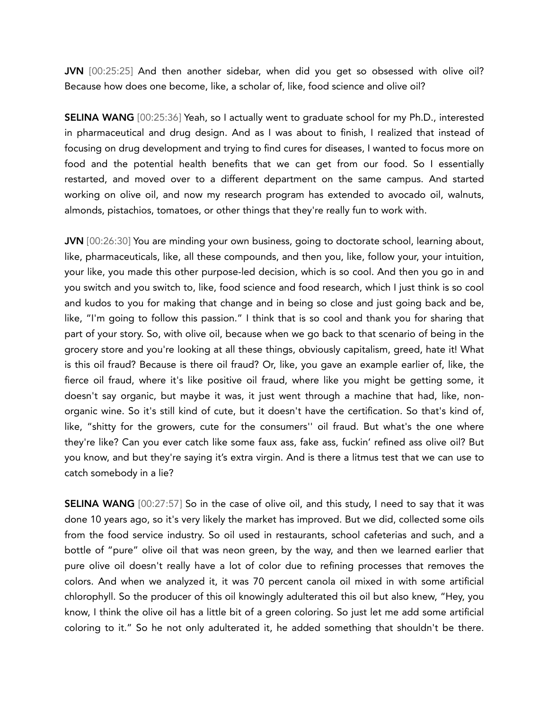JVN [00:25:25] And then another sidebar, when did you get so obsessed with olive oil? Because how does one become, like, a scholar of, like, food science and olive oil?

SELINA WANG [00:25:36] Yeah, so I actually went to graduate school for my Ph.D., interested in pharmaceutical and drug design. And as I was about to finish, I realized that instead of focusing on drug development and trying to find cures for diseases, I wanted to focus more on food and the potential health benefits that we can get from our food. So I essentially restarted, and moved over to a different department on the same campus. And started working on olive oil, and now my research program has extended to avocado oil, walnuts, almonds, pistachios, tomatoes, or other things that they're really fun to work with.

JVN [00:26:30] You are minding your own business, going to doctorate school, learning about, like, pharmaceuticals, like, all these compounds, and then you, like, follow your, your intuition, your like, you made this other purpose-led decision, which is so cool. And then you go in and you switch and you switch to, like, food science and food research, which I just think is so cool and kudos to you for making that change and in being so close and just going back and be, like, "I'm going to follow this passion." I think that is so cool and thank you for sharing that part of your story. So, with olive oil, because when we go back to that scenario of being in the grocery store and you're looking at all these things, obviously capitalism, greed, hate it! What is this oil fraud? Because is there oil fraud? Or, like, you gave an example earlier of, like, the fierce oil fraud, where it's like positive oil fraud, where like you might be getting some, it doesn't say organic, but maybe it was, it just went through a machine that had, like, nonorganic wine. So it's still kind of cute, but it doesn't have the certification. So that's kind of, like, "shitty for the growers, cute for the consumers'' oil fraud. But what's the one where they're like? Can you ever catch like some faux ass, fake ass, fuckin' refined ass olive oil? But you know, and but they're saying it's extra virgin. And is there a litmus test that we can use to catch somebody in a lie?

SELINA WANG [00:27:57] So in the case of olive oil, and this study, I need to say that it was done 10 years ago, so it's very likely the market has improved. But we did, collected some oils from the food service industry. So oil used in restaurants, school cafeterias and such, and a bottle of "pure" olive oil that was neon green, by the way, and then we learned earlier that pure olive oil doesn't really have a lot of color due to refining processes that removes the colors. And when we analyzed it, it was 70 percent canola oil mixed in with some artificial chlorophyll. So the producer of this oil knowingly adulterated this oil but also knew, "Hey, you know, I think the olive oil has a little bit of a green coloring. So just let me add some artificial coloring to it." So he not only adulterated it, he added something that shouldn't be there.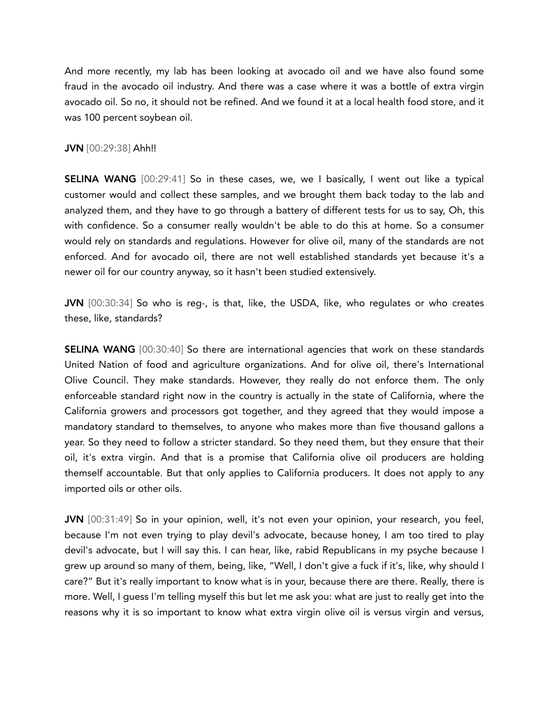And more recently, my lab has been looking at avocado oil and we have also found some fraud in the avocado oil industry. And there was a case where it was a bottle of extra virgin avocado oil. So no, it should not be refined. And we found it at a local health food store, and it was 100 percent soybean oil.

## JVN [00:29:38] Ahh!!

**SELINA WANG** [00:29:41] So in these cases, we, we I basically, I went out like a typical customer would and collect these samples, and we brought them back today to the lab and analyzed them, and they have to go through a battery of different tests for us to say, Oh, this with confidence. So a consumer really wouldn't be able to do this at home. So a consumer would rely on standards and regulations. However for olive oil, many of the standards are not enforced. And for avocado oil, there are not well established standards yet because it's a newer oil for our country anyway, so it hasn't been studied extensively.

JVN [00:30:34] So who is reg-, is that, like, the USDA, like, who regulates or who creates these, like, standards?

SELINA WANG [00:30:40] So there are international agencies that work on these standards United Nation of food and agriculture organizations. And for olive oil, there's International Olive Council. They make standards. However, they really do not enforce them. The only enforceable standard right now in the country is actually in the state of California, where the California growers and processors got together, and they agreed that they would impose a mandatory standard to themselves, to anyone who makes more than five thousand gallons a year. So they need to follow a stricter standard. So they need them, but they ensure that their oil, it's extra virgin. And that is a promise that California olive oil producers are holding themself accountable. But that only applies to California producers. It does not apply to any imported oils or other oils.

JVN [00:31:49] So in your opinion, well, it's not even your opinion, your research, you feel, because I'm not even trying to play devil's advocate, because honey, I am too tired to play devil's advocate, but I will say this. I can hear, like, rabid Republicans in my psyche because I grew up around so many of them, being, like, "Well, I don't give a fuck if it's, like, why should I care?" But it's really important to know what is in your, because there are there. Really, there is more. Well, I guess I'm telling myself this but let me ask you: what are just to really get into the reasons why it is so important to know what extra virgin olive oil is versus virgin and versus,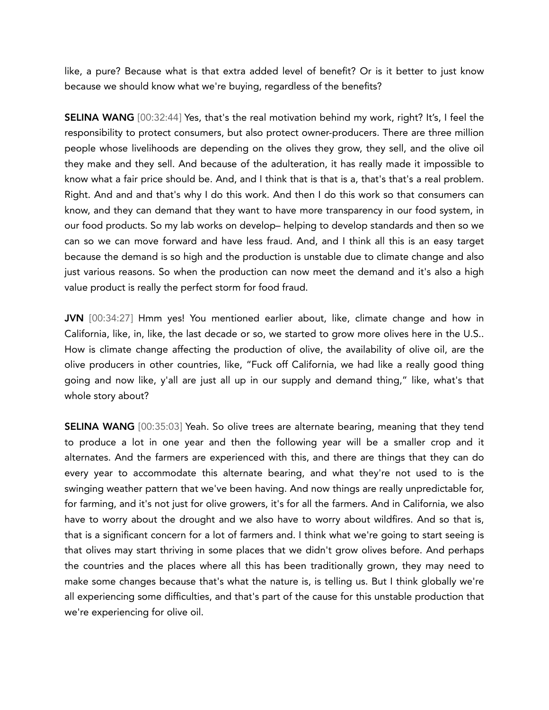like, a pure? Because what is that extra added level of benefit? Or is it better to just know because we should know what we're buying, regardless of the benefits?

SELINA WANG [00:32:44] Yes, that's the real motivation behind my work, right? It's, I feel the responsibility to protect consumers, but also protect owner-producers. There are three million people whose livelihoods are depending on the olives they grow, they sell, and the olive oil they make and they sell. And because of the adulteration, it has really made it impossible to know what a fair price should be. And, and I think that is that is a, that's that's a real problem. Right. And and and that's why I do this work. And then I do this work so that consumers can know, and they can demand that they want to have more transparency in our food system, in our food products. So my lab works on develop– helping to develop standards and then so we can so we can move forward and have less fraud. And, and I think all this is an easy target because the demand is so high and the production is unstable due to climate change and also just various reasons. So when the production can now meet the demand and it's also a high value product is really the perfect storm for food fraud.

JVN [00:34:27] Hmm yes! You mentioned earlier about, like, climate change and how in California, like, in, like, the last decade or so, we started to grow more olives here in the U.S.. How is climate change affecting the production of olive, the availability of olive oil, are the olive producers in other countries, like, "Fuck off California, we had like a really good thing going and now like, y'all are just all up in our supply and demand thing," like, what's that whole story about?

SELINA WANG [00:35:03] Yeah. So olive trees are alternate bearing, meaning that they tend to produce a lot in one year and then the following year will be a smaller crop and it alternates. And the farmers are experienced with this, and there are things that they can do every year to accommodate this alternate bearing, and what they're not used to is the swinging weather pattern that we've been having. And now things are really unpredictable for, for farming, and it's not just for olive growers, it's for all the farmers. And in California, we also have to worry about the drought and we also have to worry about wildfires. And so that is, that is a significant concern for a lot of farmers and. I think what we're going to start seeing is that olives may start thriving in some places that we didn't grow olives before. And perhaps the countries and the places where all this has been traditionally grown, they may need to make some changes because that's what the nature is, is telling us. But I think globally we're all experiencing some difficulties, and that's part of the cause for this unstable production that we're experiencing for olive oil.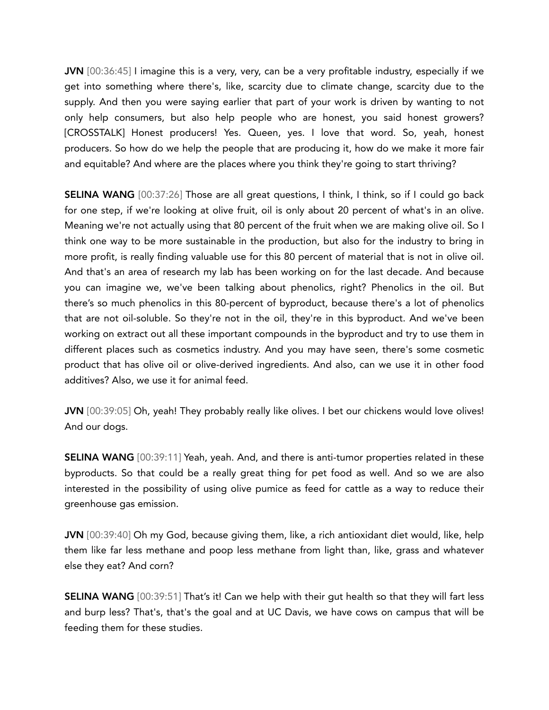JVN [00:36:45] I imagine this is a very, very, can be a very profitable industry, especially if we get into something where there's, like, scarcity due to climate change, scarcity due to the supply. And then you were saying earlier that part of your work is driven by wanting to not only help consumers, but also help people who are honest, you said honest growers? [CROSSTALK] Honest producers! Yes. Queen, yes. I love that word. So, yeah, honest producers. So how do we help the people that are producing it, how do we make it more fair and equitable? And where are the places where you think they're going to start thriving?

SELINA WANG [00:37:26] Those are all great questions, I think, I think, so if I could go back for one step, if we're looking at olive fruit, oil is only about 20 percent of what's in an olive. Meaning we're not actually using that 80 percent of the fruit when we are making olive oil. So I think one way to be more sustainable in the production, but also for the industry to bring in more profit, is really finding valuable use for this 80 percent of material that is not in olive oil. And that's an area of research my lab has been working on for the last decade. And because you can imagine we, we've been talking about phenolics, right? Phenolics in the oil. But there's so much phenolics in this 80-percent of byproduct, because there's a lot of phenolics that are not oil-soluble. So they're not in the oil, they're in this byproduct. And we've been working on extract out all these important compounds in the byproduct and try to use them in different places such as cosmetics industry. And you may have seen, there's some cosmetic product that has olive oil or olive-derived ingredients. And also, can we use it in other food additives? Also, we use it for animal feed.

JVN [00:39:05] Oh, yeah! They probably really like olives. I bet our chickens would love olives! And our dogs.

SELINA WANG [00:39:11] Yeah, yeah. And, and there is anti-tumor properties related in these byproducts. So that could be a really great thing for pet food as well. And so we are also interested in the possibility of using olive pumice as feed for cattle as a way to reduce their greenhouse gas emission.

JVN [00:39:40] Oh my God, because giving them, like, a rich antioxidant diet would, like, help them like far less methane and poop less methane from light than, like, grass and whatever else they eat? And corn?

SELINA WANG [00:39:51] That's it! Can we help with their gut health so that they will fart less and burp less? That's, that's the goal and at UC Davis, we have cows on campus that will be feeding them for these studies.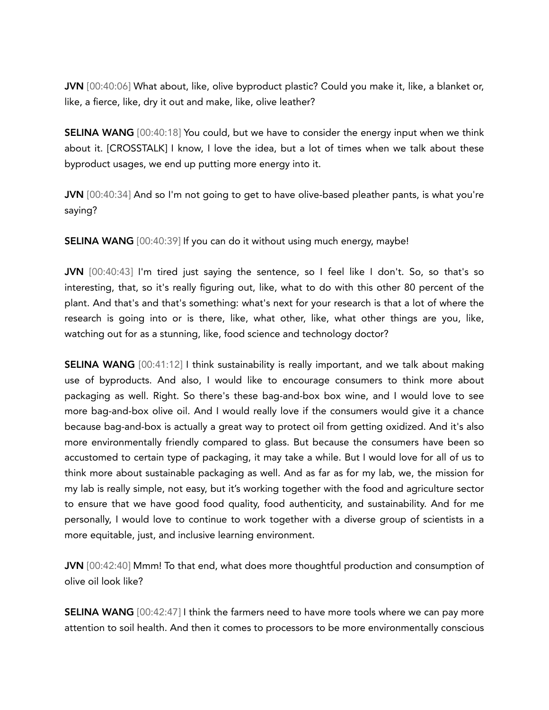JVN [00:40:06] What about, like, olive byproduct plastic? Could you make it, like, a blanket or, like, a fierce, like, dry it out and make, like, olive leather?

SELINA WANG [00:40:18] You could, but we have to consider the energy input when we think about it. [CROSSTALK] I know, I love the idea, but a lot of times when we talk about these byproduct usages, we end up putting more energy into it.

JVN [00:40:34] And so I'm not going to get to have olive-based pleather pants, is what you're saying?

SELINA WANG [00:40:39] If you can do it without using much energy, maybe!

JVN [00:40:43] I'm tired just saying the sentence, so I feel like I don't. So, so that's so interesting, that, so it's really figuring out, like, what to do with this other 80 percent of the plant. And that's and that's something: what's next for your research is that a lot of where the research is going into or is there, like, what other, like, what other things are you, like, watching out for as a stunning, like, food science and technology doctor?

SELINA WANG [00:41:12] I think sustainability is really important, and we talk about making use of byproducts. And also, I would like to encourage consumers to think more about packaging as well. Right. So there's these bag-and-box box wine, and I would love to see more bag-and-box olive oil. And I would really love if the consumers would give it a chance because bag-and-box is actually a great way to protect oil from getting oxidized. And it's also more environmentally friendly compared to glass. But because the consumers have been so accustomed to certain type of packaging, it may take a while. But I would love for all of us to think more about sustainable packaging as well. And as far as for my lab, we, the mission for my lab is really simple, not easy, but it's working together with the food and agriculture sector to ensure that we have good food quality, food authenticity, and sustainability. And for me personally, I would love to continue to work together with a diverse group of scientists in a more equitable, just, and inclusive learning environment.

JVN [00:42:40] Mmm! To that end, what does more thoughtful production and consumption of olive oil look like?

SELINA WANG [00:42:47] I think the farmers need to have more tools where we can pay more attention to soil health. And then it comes to processors to be more environmentally conscious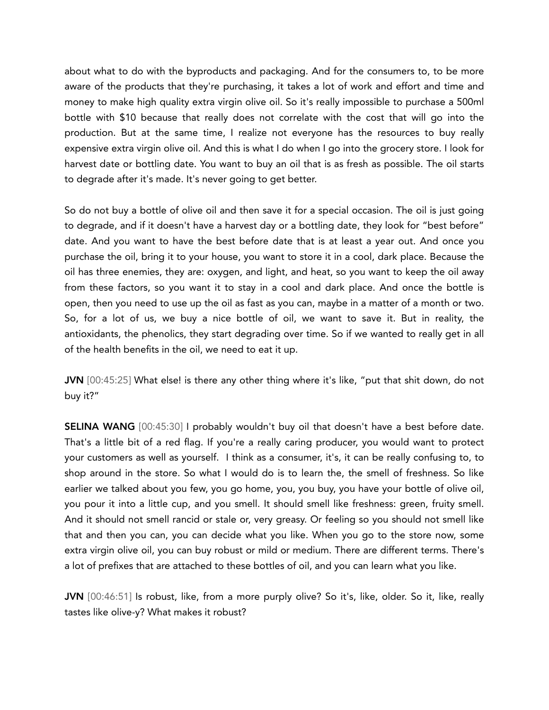about what to do with the byproducts and packaging. And for the consumers to, to be more aware of the products that they're purchasing, it takes a lot of work and effort and time and money to make high quality extra virgin olive oil. So it's really impossible to purchase a 500ml bottle with \$10 because that really does not correlate with the cost that will go into the production. But at the same time, I realize not everyone has the resources to buy really expensive extra virgin olive oil. And this is what I do when I go into the grocery store. I look for harvest date or bottling date. You want to buy an oil that is as fresh as possible. The oil starts to degrade after it's made. It's never going to get better.

So do not buy a bottle of olive oil and then save it for a special occasion. The oil is just going to degrade, and if it doesn't have a harvest day or a bottling date, they look for "best before" date. And you want to have the best before date that is at least a year out. And once you purchase the oil, bring it to your house, you want to store it in a cool, dark place. Because the oil has three enemies, they are: oxygen, and light, and heat, so you want to keep the oil away from these factors, so you want it to stay in a cool and dark place. And once the bottle is open, then you need to use up the oil as fast as you can, maybe in a matter of a month or two. So, for a lot of us, we buy a nice bottle of oil, we want to save it. But in reality, the antioxidants, the phenolics, they start degrading over time. So if we wanted to really get in all of the health benefits in the oil, we need to eat it up.

JVN [00:45:25] What else! is there any other thing where it's like, "put that shit down, do not buy it?"

SELINA WANG [00:45:30] I probably wouldn't buy oil that doesn't have a best before date. That's a little bit of a red flag. If you're a really caring producer, you would want to protect your customers as well as yourself. I think as a consumer, it's, it can be really confusing to, to shop around in the store. So what I would do is to learn the, the smell of freshness. So like earlier we talked about you few, you go home, you, you buy, you have your bottle of olive oil, you pour it into a little cup, and you smell. It should smell like freshness: green, fruity smell. And it should not smell rancid or stale or, very greasy. Or feeling so you should not smell like that and then you can, you can decide what you like. When you go to the store now, some extra virgin olive oil, you can buy robust or mild or medium. There are different terms. There's a lot of prefixes that are attached to these bottles of oil, and you can learn what you like.

JVN [00:46:51] Is robust, like, from a more purply olive? So it's, like, older. So it, like, really tastes like olive-y? What makes it robust?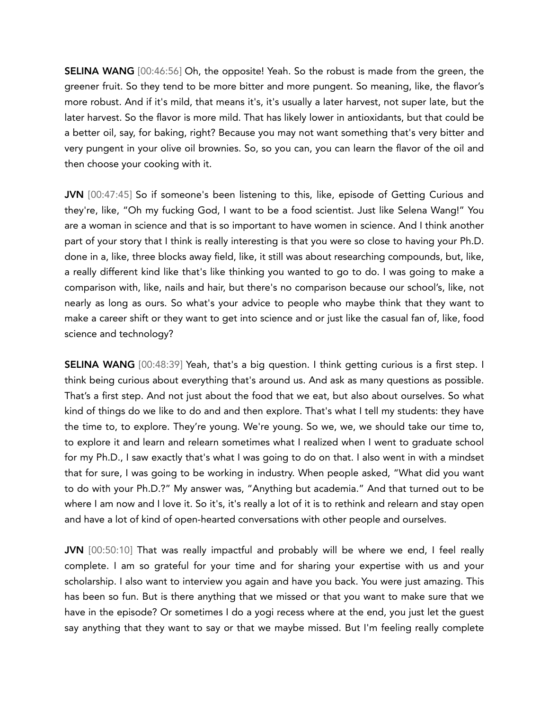SELINA WANG [00:46:56] Oh, the opposite! Yeah. So the robust is made from the green, the greener fruit. So they tend to be more bitter and more pungent. So meaning, like, the flavor's more robust. And if it's mild, that means it's, it's usually a later harvest, not super late, but the later harvest. So the flavor is more mild. That has likely lower in antioxidants, but that could be a better oil, say, for baking, right? Because you may not want something that's very bitter and very pungent in your olive oil brownies. So, so you can, you can learn the flavor of the oil and then choose your cooking with it.

JVN [00:47:45] So if someone's been listening to this, like, episode of Getting Curious and they're, like, "Oh my fucking God, I want to be a food scientist. Just like Selena Wang!" You are a woman in science and that is so important to have women in science. And I think another part of your story that I think is really interesting is that you were so close to having your Ph.D. done in a, like, three blocks away field, like, it still was about researching compounds, but, like, a really different kind like that's like thinking you wanted to go to do. I was going to make a comparison with, like, nails and hair, but there's no comparison because our school's, like, not nearly as long as ours. So what's your advice to people who maybe think that they want to make a career shift or they want to get into science and or just like the casual fan of, like, food science and technology?

SELINA WANG [00:48:39] Yeah, that's a big question. I think getting curious is a first step. I think being curious about everything that's around us. And ask as many questions as possible. That's a first step. And not just about the food that we eat, but also about ourselves. So what kind of things do we like to do and and then explore. That's what I tell my students: they have the time to, to explore. They're young. We're young. So we, we, we should take our time to, to explore it and learn and relearn sometimes what I realized when I went to graduate school for my Ph.D., I saw exactly that's what I was going to do on that. I also went in with a mindset that for sure, I was going to be working in industry. When people asked, "What did you want to do with your Ph.D.?" My answer was, "Anything but academia." And that turned out to be where I am now and I love it. So it's, it's really a lot of it is to rethink and relearn and stay open and have a lot of kind of open-hearted conversations with other people and ourselves.

JVN [00:50:10] That was really impactful and probably will be where we end, I feel really complete. I am so grateful for your time and for sharing your expertise with us and your scholarship. I also want to interview you again and have you back. You were just amazing. This has been so fun. But is there anything that we missed or that you want to make sure that we have in the episode? Or sometimes I do a yogi recess where at the end, you just let the guest say anything that they want to say or that we maybe missed. But I'm feeling really complete